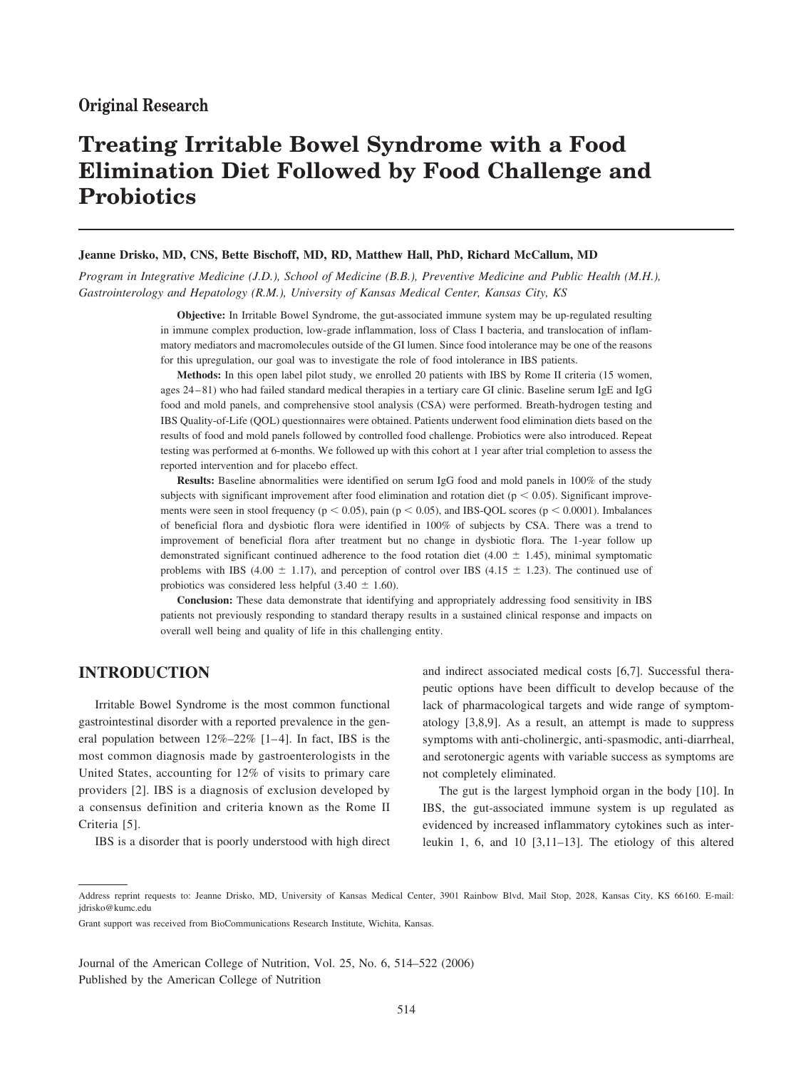# **Treating Irritable Bowel Syndrome with a Food Elimination Diet Followed by Food Challenge and Probiotics**

#### **Jeanne Drisko, MD, CNS, Bette Bischoff, MD, RD, Matthew Hall, PhD, Richard McCallum, MD**

*Program in Integrative Medicine (J.D.), School of Medicine (B.B.), Preventive Medicine and Public Health (M.H.), Gastrointerology and Hepatology (R.M.), University of Kansas Medical Center, Kansas City, KS*

> **Objective:** In Irritable Bowel Syndrome, the gut-associated immune system may be up-regulated resulting in immune complex production, low-grade inflammation, loss of Class I bacteria, and translocation of inflammatory mediators and macromolecules outside of the GI lumen. Since food intolerance may be one of the reasons for this upregulation, our goal was to investigate the role of food intolerance in IBS patients.

> **Methods:** In this open label pilot study, we enrolled 20 patients with IBS by Rome II criteria (15 women, ages 24–81) who had failed standard medical therapies in a tertiary care GI clinic. Baseline serum IgE and IgG food and mold panels, and comprehensive stool analysis (CSA) were performed. Breath-hydrogen testing and IBS Quality-of-Life (QOL) questionnaires were obtained. Patients underwent food elimination diets based on the results of food and mold panels followed by controlled food challenge. Probiotics were also introduced. Repeat testing was performed at 6-months. We followed up with this cohort at 1 year after trial completion to assess the reported intervention and for placebo effect.

> **Results:** Baseline abnormalities were identified on serum IgG food and mold panels in 100% of the study subjects with significant improvement after food elimination and rotation diet ( $p < 0.05$ ). Significant improvements were seen in stool frequency ( $p < 0.05$ ), pain ( $p < 0.05$ ), and IBS-QOL scores ( $p < 0.0001$ ). Imbalances of beneficial flora and dysbiotic flora were identified in 100% of subjects by CSA. There was a trend to improvement of beneficial flora after treatment but no change in dysbiotic flora. The 1-year follow up demonstrated significant continued adherence to the food rotation diet  $(4.00 \pm 1.45)$ , minimal symptomatic problems with IBS (4.00  $\pm$  1.17), and perception of control over IBS (4.15  $\pm$  1.23). The continued use of probiotics was considered less helpful  $(3.40 \pm 1.60)$ .

> **Conclusion:** These data demonstrate that identifying and appropriately addressing food sensitivity in IBS patients not previously responding to standard therapy results in a sustained clinical response and impacts on overall well being and quality of life in this challenging entity.

## **INTRODUCTION**

Irritable Bowel Syndrome is the most common functional gastrointestinal disorder with a reported prevalence in the general population between 12%–22% [1–4]. In fact, IBS is the most common diagnosis made by gastroenterologists in the United States, accounting for 12% of visits to primary care providers [2]. IBS is a diagnosis of exclusion developed by a consensus definition and criteria known as the Rome II Criteria [5].

IBS is a disorder that is poorly understood with high direct

and indirect associated medical costs [6,7]. Successful therapeutic options have been difficult to develop because of the lack of pharmacological targets and wide range of symptomatology [3,8,9]. As a result, an attempt is made to suppress symptoms with anti-cholinergic, anti-spasmodic, anti-diarrheal, and serotonergic agents with variable success as symptoms are not completely eliminated.

The gut is the largest lymphoid organ in the body [10]. In IBS, the gut-associated immune system is up regulated as evidenced by increased inflammatory cytokines such as interleukin 1, 6, and 10 [3,11–13]. The etiology of this altered

Journal of the American College of Nutrition, Vol. 25, No. 6, 514–522 (2006) Published by the American College of Nutrition

Address reprint requests to: Jeanne Drisko, MD, University of Kansas Medical Center, 3901 Rainbow Blvd, Mail Stop, 2028, Kansas City, KS 66160. E-mail: jdrisko@kumc.edu

Grant support was received from BioCommunications Research Institute, Wichita, Kansas.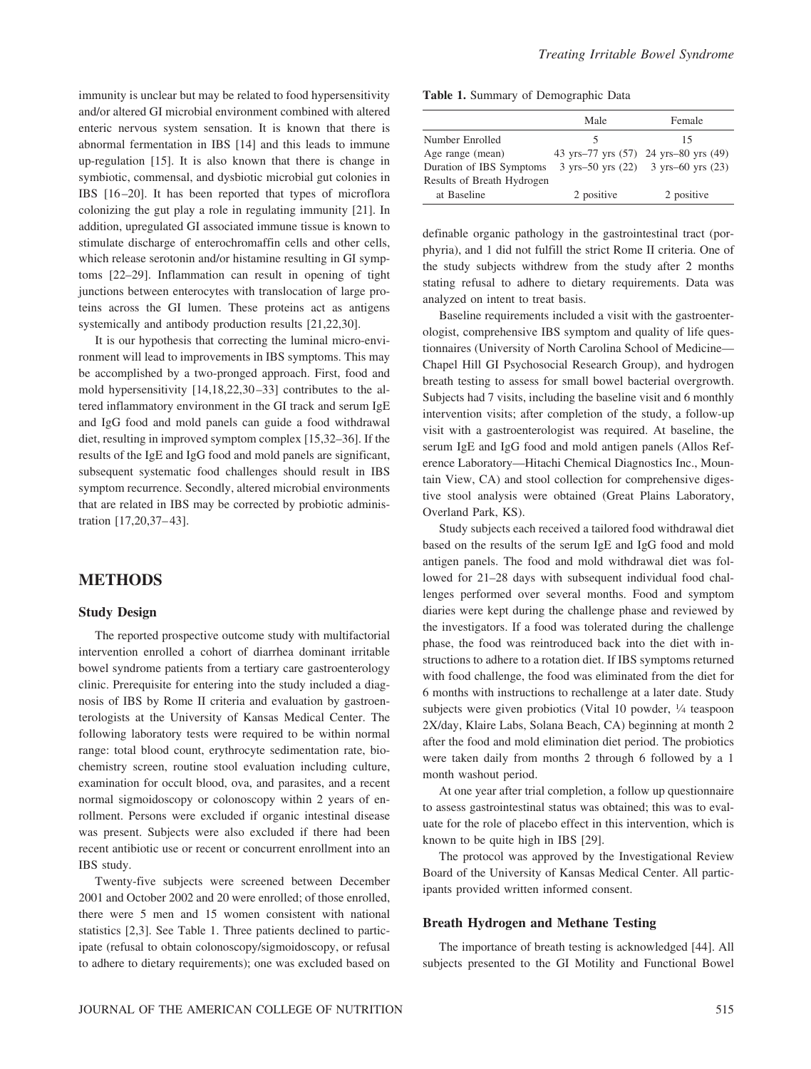immunity is unclear but may be related to food hypersensitivity and/or altered GI microbial environment combined with altered enteric nervous system sensation. It is known that there is abnormal fermentation in IBS [14] and this leads to immune up-regulation [15]. It is also known that there is change in symbiotic, commensal, and dysbiotic microbial gut colonies in IBS [16–20]. It has been reported that types of microflora colonizing the gut play a role in regulating immunity [21]. In addition, upregulated GI associated immune tissue is known to stimulate discharge of enterochromaffin cells and other cells, which release serotonin and/or histamine resulting in GI symptoms [22–29]. Inflammation can result in opening of tight junctions between enterocytes with translocation of large proteins across the GI lumen. These proteins act as antigens systemically and antibody production results [21,22,30].

It is our hypothesis that correcting the luminal micro-environment will lead to improvements in IBS symptoms. This may be accomplished by a two-pronged approach. First, food and mold hypersensitivity [14,18,22,30–33] contributes to the altered inflammatory environment in the GI track and serum IgE and IgG food and mold panels can guide a food withdrawal diet, resulting in improved symptom complex [15,32–36]. If the results of the IgE and IgG food and mold panels are significant, subsequent systematic food challenges should result in IBS symptom recurrence. Secondly, altered microbial environments that are related in IBS may be corrected by probiotic administration [17,20,37–43].

## **METHODS**

#### **Study Design**

The reported prospective outcome study with multifactorial intervention enrolled a cohort of diarrhea dominant irritable bowel syndrome patients from a tertiary care gastroenterology clinic. Prerequisite for entering into the study included a diagnosis of IBS by Rome II criteria and evaluation by gastroenterologists at the University of Kansas Medical Center. The following laboratory tests were required to be within normal range: total blood count, erythrocyte sedimentation rate, biochemistry screen, routine stool evaluation including culture, examination for occult blood, ova, and parasites, and a recent normal sigmoidoscopy or colonoscopy within 2 years of enrollment. Persons were excluded if organic intestinal disease was present. Subjects were also excluded if there had been recent antibiotic use or recent or concurrent enrollment into an IBS study.

Twenty-five subjects were screened between December 2001 and October 2002 and 20 were enrolled; of those enrolled, there were 5 men and 15 women consistent with national statistics [2,3]. See Table 1. Three patients declined to participate (refusal to obtain colonoscopy/sigmoidoscopy, or refusal to adhere to dietary requirements); one was excluded based on

**Table 1.** Summary of Demographic Data

|                            | Male                                  | Female                                                                  |
|----------------------------|---------------------------------------|-------------------------------------------------------------------------|
| Number Enrolled            |                                       | 15                                                                      |
| Age range (mean)           | 43 yrs–77 yrs (57) 24 yrs–80 yrs (49) |                                                                         |
| Duration of IBS Symptoms   |                                       | $3 \text{ yrs}-50 \text{ yrs} (22)$ $3 \text{ yrs}-60 \text{ yrs} (23)$ |
| Results of Breath Hydrogen |                                       |                                                                         |
| at Baseline                | 2 positive                            | 2 positive                                                              |

definable organic pathology in the gastrointestinal tract (porphyria), and 1 did not fulfill the strict Rome II criteria. One of the study subjects withdrew from the study after 2 months stating refusal to adhere to dietary requirements. Data was analyzed on intent to treat basis.

Baseline requirements included a visit with the gastroenterologist, comprehensive IBS symptom and quality of life questionnaires (University of North Carolina School of Medicine— Chapel Hill GI Psychosocial Research Group), and hydrogen breath testing to assess for small bowel bacterial overgrowth. Subjects had 7 visits, including the baseline visit and 6 monthly intervention visits; after completion of the study, a follow-up visit with a gastroenterologist was required. At baseline, the serum IgE and IgG food and mold antigen panels (Allos Reference Laboratory—Hitachi Chemical Diagnostics Inc., Mountain View, CA) and stool collection for comprehensive digestive stool analysis were obtained (Great Plains Laboratory, Overland Park, KS).

Study subjects each received a tailored food withdrawal diet based on the results of the serum IgE and IgG food and mold antigen panels. The food and mold withdrawal diet was followed for 21–28 days with subsequent individual food challenges performed over several months. Food and symptom diaries were kept during the challenge phase and reviewed by the investigators. If a food was tolerated during the challenge phase, the food was reintroduced back into the diet with instructions to adhere to a rotation diet. If IBS symptoms returned with food challenge, the food was eliminated from the diet for 6 months with instructions to rechallenge at a later date. Study subjects were given probiotics (Vital 10 powder,  $\frac{1}{4}$  teaspoon 2X/day, Klaire Labs, Solana Beach, CA) beginning at month 2 after the food and mold elimination diet period. The probiotics were taken daily from months 2 through 6 followed by a 1 month washout period.

At one year after trial completion, a follow up questionnaire to assess gastrointestinal status was obtained; this was to evaluate for the role of placebo effect in this intervention, which is known to be quite high in IBS [29].

The protocol was approved by the Investigational Review Board of the University of Kansas Medical Center. All participants provided written informed consent.

#### **Breath Hydrogen and Methane Testing**

The importance of breath testing is acknowledged [44]. All subjects presented to the GI Motility and Functional Bowel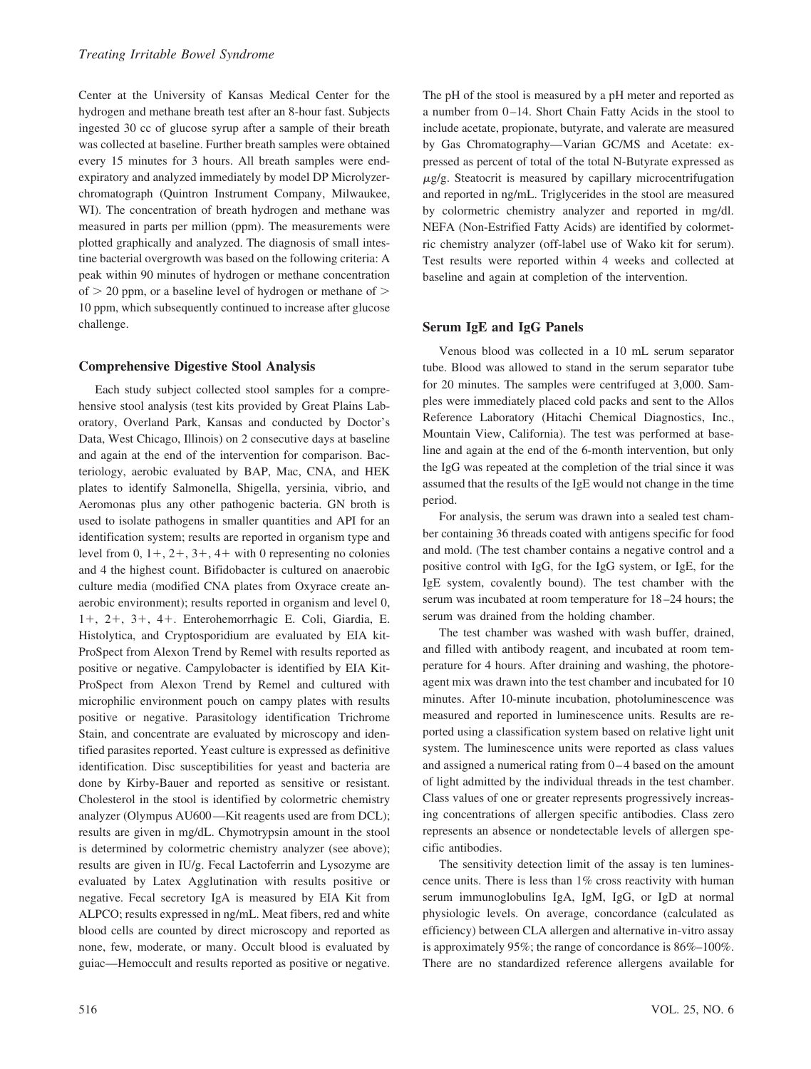Center at the University of Kansas Medical Center for the hydrogen and methane breath test after an 8-hour fast. Subjects ingested 30 cc of glucose syrup after a sample of their breath was collected at baseline. Further breath samples were obtained every 15 minutes for 3 hours. All breath samples were endexpiratory and analyzed immediately by model DP Microlyzerchromatograph (Quintron Instrument Company, Milwaukee, WI). The concentration of breath hydrogen and methane was measured in parts per million (ppm). The measurements were plotted graphically and analyzed. The diagnosis of small intestine bacterial overgrowth was based on the following criteria: A peak within 90 minutes of hydrogen or methane concentration of  $>$  20 ppm, or a baseline level of hydrogen or methane of  $>$ 10 ppm, which subsequently continued to increase after glucose challenge.

#### **Comprehensive Digestive Stool Analysis**

Each study subject collected stool samples for a comprehensive stool analysis (test kits provided by Great Plains Laboratory, Overland Park, Kansas and conducted by Doctor's Data, West Chicago, Illinois) on 2 consecutive days at baseline and again at the end of the intervention for comparison. Bacteriology, aerobic evaluated by BAP, Mac, CNA, and HEK plates to identify Salmonella, Shigella, yersinia, vibrio, and Aeromonas plus any other pathogenic bacteria. GN broth is used to isolate pathogens in smaller quantities and API for an identification system; results are reported in organism type and level from  $0, 1+, 2+, 3+, 4+$  with 0 representing no colonies and 4 the highest count. Bifidobacter is cultured on anaerobic culture media (modified CNA plates from Oxyrace create anaerobic environment); results reported in organism and level 0,  $1+$ ,  $2+$ ,  $3+$ ,  $4+$ . Enterohemorrhagic E. Coli, Giardia, E. Histolytica, and Cryptosporidium are evaluated by EIA kit-ProSpect from Alexon Trend by Remel with results reported as positive or negative. Campylobacter is identified by EIA Kit-ProSpect from Alexon Trend by Remel and cultured with microphilic environment pouch on campy plates with results positive or negative. Parasitology identification Trichrome Stain, and concentrate are evaluated by microscopy and identified parasites reported. Yeast culture is expressed as definitive identification. Disc susceptibilities for yeast and bacteria are done by Kirby-Bauer and reported as sensitive or resistant. Cholesterol in the stool is identified by colormetric chemistry analyzer (Olympus AU600—Kit reagents used are from DCL); results are given in mg/dL. Chymotrypsin amount in the stool is determined by colormetric chemistry analyzer (see above); results are given in IU/g. Fecal Lactoferrin and Lysozyme are evaluated by Latex Agglutination with results positive or negative. Fecal secretory IgA is measured by EIA Kit from ALPCO; results expressed in ng/mL. Meat fibers, red and white blood cells are counted by direct microscopy and reported as none, few, moderate, or many. Occult blood is evaluated by guiac—Hemoccult and results reported as positive or negative.

The pH of the stool is measured by a pH meter and reported as a number from 0–14. Short Chain Fatty Acids in the stool to include acetate, propionate, butyrate, and valerate are measured by Gas Chromatography—Varian GC/MS and Acetate: expressed as percent of total of the total N-Butyrate expressed as  $\mu$ g/g. Steatocrit is measured by capillary microcentrifugation and reported in ng/mL. Triglycerides in the stool are measured by colormetric chemistry analyzer and reported in mg/dl. NEFA (Non-Estrified Fatty Acids) are identified by colormetric chemistry analyzer (off-label use of Wako kit for serum). Test results were reported within 4 weeks and collected at baseline and again at completion of the intervention.

#### **Serum IgE and IgG Panels**

Venous blood was collected in a 10 mL serum separator tube. Blood was allowed to stand in the serum separator tube for 20 minutes. The samples were centrifuged at 3,000. Samples were immediately placed cold packs and sent to the Allos Reference Laboratory (Hitachi Chemical Diagnostics, Inc., Mountain View, California). The test was performed at baseline and again at the end of the 6-month intervention, but only the IgG was repeated at the completion of the trial since it was assumed that the results of the IgE would not change in the time period.

For analysis, the serum was drawn into a sealed test chamber containing 36 threads coated with antigens specific for food and mold. (The test chamber contains a negative control and a positive control with IgG, for the IgG system, or IgE, for the IgE system, covalently bound). The test chamber with the serum was incubated at room temperature for 18–24 hours; the serum was drained from the holding chamber.

The test chamber was washed with wash buffer, drained, and filled with antibody reagent, and incubated at room temperature for 4 hours. After draining and washing, the photoreagent mix was drawn into the test chamber and incubated for 10 minutes. After 10-minute incubation, photoluminescence was measured and reported in luminescence units. Results are reported using a classification system based on relative light unit system. The luminescence units were reported as class values and assigned a numerical rating from 0–4 based on the amount of light admitted by the individual threads in the test chamber. Class values of one or greater represents progressively increasing concentrations of allergen specific antibodies. Class zero represents an absence or nondetectable levels of allergen specific antibodies.

The sensitivity detection limit of the assay is ten luminescence units. There is less than 1% cross reactivity with human serum immunoglobulins IgA, IgM, IgG, or IgD at normal physiologic levels. On average, concordance (calculated as efficiency) between CLA allergen and alternative in-vitro assay is approximately 95%; the range of concordance is 86%–100%. There are no standardized reference allergens available for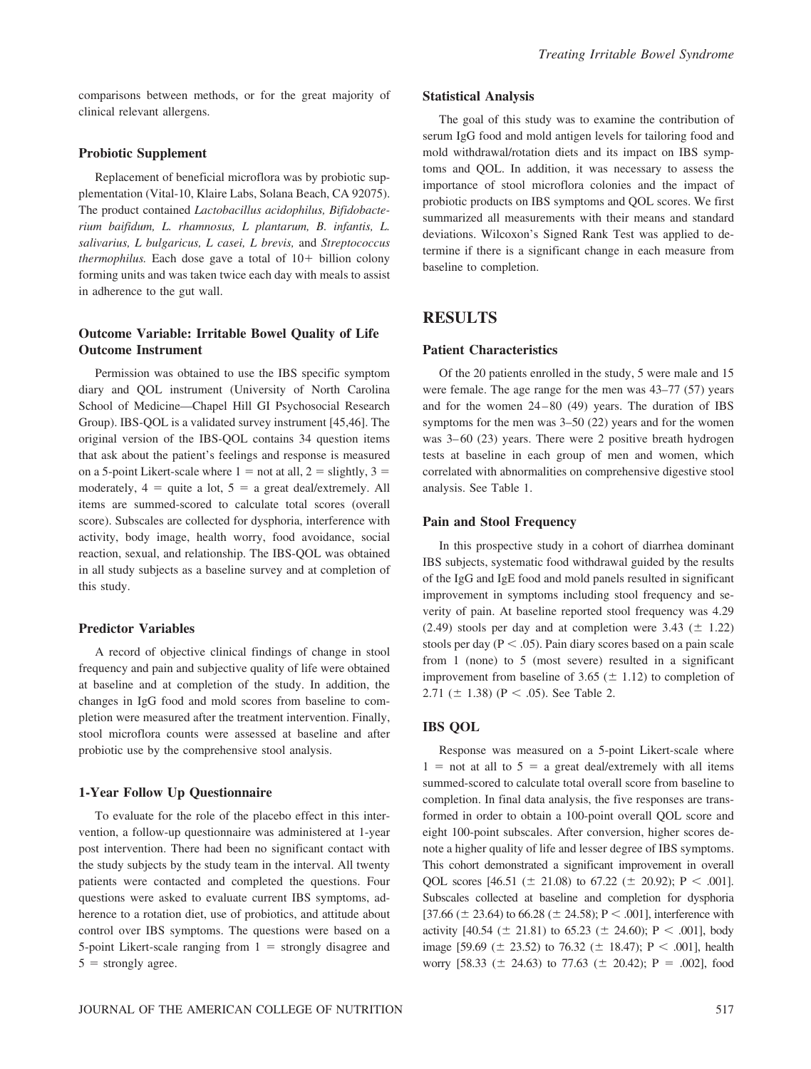comparisons between methods, or for the great majority of clinical relevant allergens.

#### **Probiotic Supplement**

Replacement of beneficial microflora was by probiotic supplementation (Vital-10, Klaire Labs, Solana Beach, CA 92075). The product contained *Lactobacillus acidophilus, Bifidobacterium baifidum, L. rhamnosus, L plantarum, B. infantis, L. salivarius, L bulgaricus, L casei, L brevis,* and *Streptococcus*  $thermophilus$ . Each dose gave a total of  $10+$  billion colony forming units and was taken twice each day with meals to assist in adherence to the gut wall.

## **Outcome Variable: Irritable Bowel Quality of Life Outcome Instrument**

Permission was obtained to use the IBS specific symptom diary and QOL instrument (University of North Carolina School of Medicine—Chapel Hill GI Psychosocial Research Group). IBS-QOL is a validated survey instrument [45,46]. The original version of the IBS-QOL contains 34 question items that ask about the patient's feelings and response is measured on a 5-point Likert-scale where  $1 =$  not at all,  $2 =$  slightly,  $3 =$ moderately,  $4 =$  quite a lot,  $5 =$  a great deal/extremely. All items are summed-scored to calculate total scores (overall score). Subscales are collected for dysphoria, interference with activity, body image, health worry, food avoidance, social reaction, sexual, and relationship. The IBS-QOL was obtained in all study subjects as a baseline survey and at completion of this study.

#### **Predictor Variables**

A record of objective clinical findings of change in stool frequency and pain and subjective quality of life were obtained at baseline and at completion of the study. In addition, the changes in IgG food and mold scores from baseline to completion were measured after the treatment intervention. Finally, stool microflora counts were assessed at baseline and after probiotic use by the comprehensive stool analysis.

#### **1-Year Follow Up Questionnaire**

To evaluate for the role of the placebo effect in this intervention, a follow-up questionnaire was administered at 1-year post intervention. There had been no significant contact with the study subjects by the study team in the interval. All twenty patients were contacted and completed the questions. Four questions were asked to evaluate current IBS symptoms, adherence to a rotation diet, use of probiotics, and attitude about control over IBS symptoms. The questions were based on a 5-point Likert-scale ranging from  $1 =$  strongly disagree and  $5 =$  strongly agree.

#### **Statistical Analysis**

The goal of this study was to examine the contribution of serum IgG food and mold antigen levels for tailoring food and mold withdrawal/rotation diets and its impact on IBS symptoms and QOL. In addition, it was necessary to assess the importance of stool microflora colonies and the impact of probiotic products on IBS symptoms and QOL scores. We first summarized all measurements with their means and standard deviations. Wilcoxon's Signed Rank Test was applied to determine if there is a significant change in each measure from baseline to completion.

# **RESULTS**

### **Patient Characteristics**

Of the 20 patients enrolled in the study, 5 were male and 15 were female. The age range for the men was 43–77 (57) years and for the women 24–80 (49) years. The duration of IBS symptoms for the men was 3–50 (22) years and for the women was 3–60 (23) years. There were 2 positive breath hydrogen tests at baseline in each group of men and women, which correlated with abnormalities on comprehensive digestive stool analysis. See Table 1.

#### **Pain and Stool Frequency**

In this prospective study in a cohort of diarrhea dominant IBS subjects, systematic food withdrawal guided by the results of the IgG and IgE food and mold panels resulted in significant improvement in symptoms including stool frequency and severity of pain. At baseline reported stool frequency was 4.29  $(2.49)$  stools per day and at completion were 3.43 ( $\pm$  1.22) stools per day ( $P < .05$ ). Pain diary scores based on a pain scale from 1 (none) to 5 (most severe) resulted in a significant improvement from baseline of 3.65  $(\pm 1.12)$  to completion of  $2.71$  ( $\pm$  1.38) (P < .05). See Table 2.

#### **IBS QOL**

Response was measured on a 5-point Likert-scale where  $1 =$  not at all to  $5 =$  a great deal/extremely with all items summed-scored to calculate total overall score from baseline to completion. In final data analysis, the five responses are transformed in order to obtain a 100-point overall QOL score and eight 100-point subscales. After conversion, higher scores denote a higher quality of life and lesser degree of IBS symptoms. This cohort demonstrated a significant improvement in overall QOL scores [46.51 ( $\pm$  21.08) to 67.22 ( $\pm$  20.92); P < .001]. Subscales collected at baseline and completion for dysphoria [37.66 ( $\pm$  23.64) to 66.28 ( $\pm$  24.58); P < .001], interference with activity [40.54 ( $\pm$  21.81) to 65.23 ( $\pm$  24.60); P < .001], body image [59.69 ( $\pm$  23.52) to 76.32 ( $\pm$  18.47); P < .001], health worry [58.33 ( $\pm$  24.63) to 77.63 ( $\pm$  20.42); P = .002], food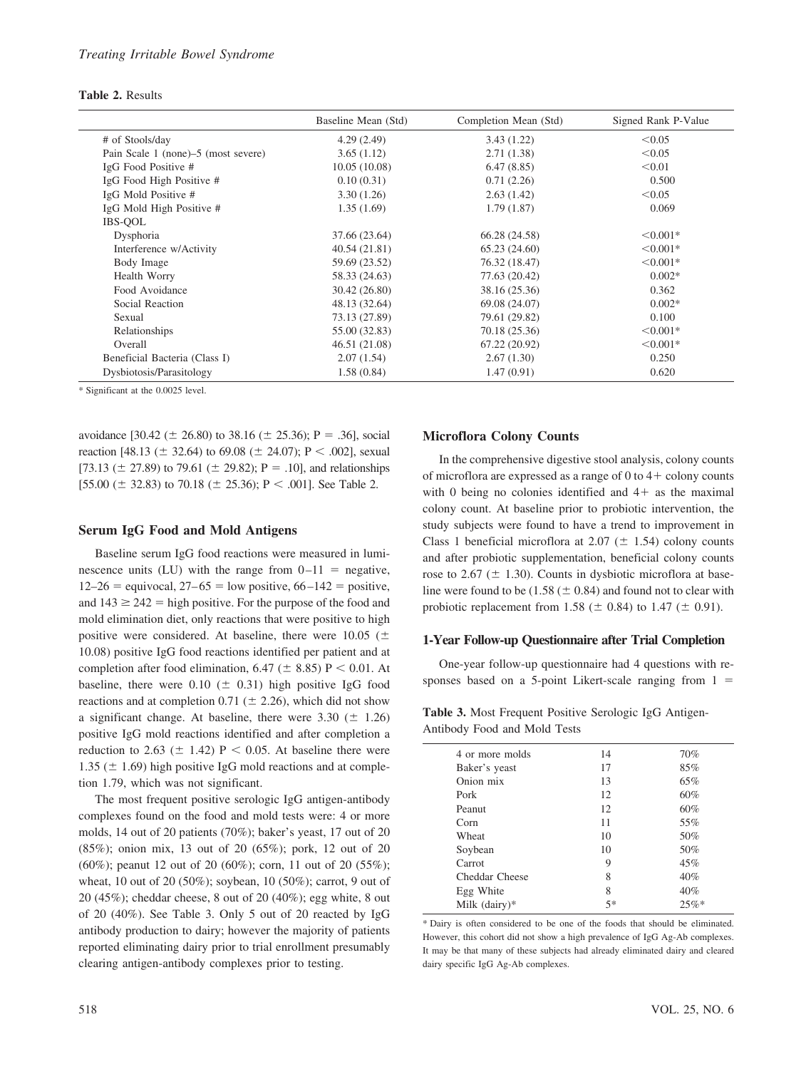|  |  | <b>Table 2. Results</b> |
|--|--|-------------------------|
|--|--|-------------------------|

|                                     | Baseline Mean (Std) | Completion Mean (Std) | Signed Rank P-Value |
|-------------------------------------|---------------------|-----------------------|---------------------|
| # of Stools/day                     | 4.29(2.49)          | 3.43(1.22)            | < 0.05              |
| Pain Scale 1 (none)–5 (most severe) | 3.65(1.12)          | 2.71(1.38)            | < 0.05              |
| IgG Food Positive #                 | 10.05(10.08)        | 6.47(8.85)            | < 0.01              |
| IgG Food High Positive #            | 0.10(0.31)          | 0.71(2.26)            | 0.500               |
| IgG Mold Positive #                 | 3.30(1.26)          | 2.63(1.42)            | < 0.05              |
| IgG Mold High Positive #            | 1.35(1.69)          | 1.79(1.87)            | 0.069               |
| <b>IBS-OOL</b>                      |                     |                       |                     |
| Dysphoria                           | 37.66 (23.64)       | 66.28 (24.58)         | $< 0.001*$          |
| Interference w/Activity             | 40.54 (21.81)       | 65.23(24.60)          | $< 0.001*$          |
| Body Image                          | 59.69 (23.52)       | 76.32 (18.47)         | $< 0.001*$          |
| Health Worry                        | 58.33 (24.63)       | 77.63 (20.42)         | $0.002*$            |
| Food Avoidance                      | 30.42 (26.80)       | 38.16 (25.36)         | 0.362               |
| Social Reaction                     | 48.13 (32.64)       | 69.08 (24.07)         | $0.002*$            |
| Sexual                              | 73.13 (27.89)       | 79.61 (29.82)         | 0.100               |
| Relationships                       | 55.00 (32.83)       | 70.18 (25.36)         | $< 0.001*$          |
| Overall                             | 46.51 (21.08)       | 67.22 (20.92)         | $< 0.001*$          |
| Beneficial Bacteria (Class I)       | 2.07(1.54)          | 2.67(1.30)            | 0.250               |
| Dysbiotosis/Parasitology            | 1.58(0.84)          | 1.47(0.91)            | 0.620               |

\* Significant at the 0.0025 level.

avoidance [30.42 ( $\pm$  26.80) to 38.16 ( $\pm$  25.36); P = .36], social reaction [48.13 ( $\pm$  32.64) to 69.08 ( $\pm$  24.07); P < .002], sexual [73.13 ( $\pm$  27.89) to 79.61 ( $\pm$  29.82); P = .10], and relationships [55.00 ( $\pm$  32.83) to 70.18 ( $\pm$  25.36); P < .001]. See Table 2.

#### **Serum IgG Food and Mold Antigens**

Baseline serum IgG food reactions were measured in luminescence units (LU) with the range from  $0-11$  = negative,  $12-26$  = equivocal,  $27-65$  = low positive,  $66-142$  = positive, and  $143 \ge 242$  = high positive. For the purpose of the food and mold elimination diet, only reactions that were positive to high positive were considered. At baseline, there were  $10.05$  ( $\pm$ 10.08) positive IgG food reactions identified per patient and at completion after food elimination,  $6.47 \, (\pm \, 8.85) \, P \leq 0.01$ . At baseline, there were  $0.10$  ( $\pm$  0.31) high positive IgG food reactions and at completion 0.71 ( $\pm$  2.26), which did not show a significant change. At baseline, there were  $3.30 \ (\pm \ 1.26)$ positive IgG mold reactions identified and after completion a reduction to 2.63 ( $\pm$  1.42) P < 0.05. At baseline there were 1.35 ( $\pm$  1.69) high positive IgG mold reactions and at completion 1.79, which was not significant.

The most frequent positive serologic IgG antigen-antibody complexes found on the food and mold tests were: 4 or more molds, 14 out of 20 patients (70%); baker's yeast, 17 out of 20 (85%); onion mix, 13 out of 20 (65%); pork, 12 out of 20 (60%); peanut 12 out of 20 (60%); corn, 11 out of 20 (55%); wheat, 10 out of 20 (50%); soybean, 10 (50%); carrot, 9 out of 20 (45%); cheddar cheese, 8 out of 20 (40%); egg white, 8 out of 20 (40%). See Table 3. Only 5 out of 20 reacted by IgG antibody production to dairy; however the majority of patients reported eliminating dairy prior to trial enrollment presumably clearing antigen-antibody complexes prior to testing.

#### **Microflora Colony Counts**

In the comprehensive digestive stool analysis, colony counts of microflora are expressed as a range of 0 to  $4+$  colony counts with 0 being no colonies identified and  $4+$  as the maximal colony count. At baseline prior to probiotic intervention, the study subjects were found to have a trend to improvement in Class 1 beneficial microflora at 2.07 ( $\pm$  1.54) colony counts and after probiotic supplementation, beneficial colony counts rose to 2.67 ( $\pm$  1.30). Counts in dysbiotic microflora at baseline were found to be  $(1.58 \ (\pm 0.84)$  and found not to clear with probiotic replacement from 1.58 ( $\pm$  0.84) to 1.47 ( $\pm$  0.91).

#### **1-Year Follow-up Questionnaire after Trial Completion**

One-year follow-up questionnaire had 4 questions with responses based on a 5-point Likert-scale ranging from  $1 =$ 

|                              |  | <b>Table 3.</b> Most Frequent Positive Serologic IgG Antigen- |  |
|------------------------------|--|---------------------------------------------------------------|--|
| Antibody Food and Mold Tests |  |                                                               |  |

| 4 or more molds | 14   | 70% |
|-----------------|------|-----|
| Baker's yeast   | 17   | 85% |
| Onion mix       | 13   | 65% |
| Pork            | 12   | 60% |
| Peanut          | 12   | 60% |
| Corn            | 11   | 55% |
| Wheat           | 10   | 50% |
| Soybean         | 10   | 50% |
| Carrot          | 9    | 45% |
| Cheddar Cheese  | 8    | 40% |
| Egg White       | 8    | 40% |
| Milk $(dairy)*$ | $5*$ | 25% |

\* Dairy is often considered to be one of the foods that should be eliminated. However, this cohort did not show a high prevalence of IgG Ag-Ab complexes. It may be that many of these subjects had already eliminated dairy and cleared dairy specific IgG Ag-Ab complexes.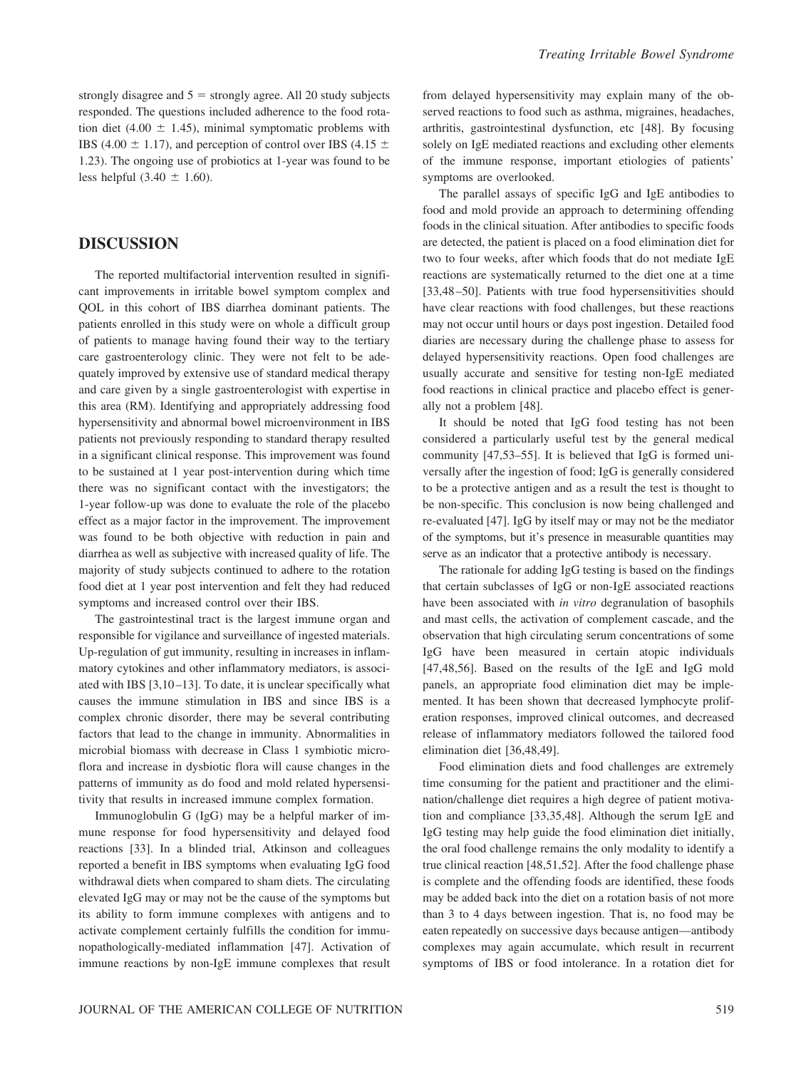strongly disagree and  $5 =$  strongly agree. All 20 study subjects responded. The questions included adherence to the food rotation diet (4.00  $\pm$  1.45), minimal symptomatic problems with IBS (4.00  $\pm$  1.17), and perception of control over IBS (4.15  $\pm$ 1.23). The ongoing use of probiotics at 1-year was found to be less helpful  $(3.40 \pm 1.60)$ .

## **DISCUSSION**

The reported multifactorial intervention resulted in significant improvements in irritable bowel symptom complex and QOL in this cohort of IBS diarrhea dominant patients. The patients enrolled in this study were on whole a difficult group of patients to manage having found their way to the tertiary care gastroenterology clinic. They were not felt to be adequately improved by extensive use of standard medical therapy and care given by a single gastroenterologist with expertise in this area (RM). Identifying and appropriately addressing food hypersensitivity and abnormal bowel microenvironment in IBS patients not previously responding to standard therapy resulted in a significant clinical response. This improvement was found to be sustained at 1 year post-intervention during which time there was no significant contact with the investigators; the 1-year follow-up was done to evaluate the role of the placebo effect as a major factor in the improvement. The improvement was found to be both objective with reduction in pain and diarrhea as well as subjective with increased quality of life. The majority of study subjects continued to adhere to the rotation food diet at 1 year post intervention and felt they had reduced symptoms and increased control over their IBS.

The gastrointestinal tract is the largest immune organ and responsible for vigilance and surveillance of ingested materials. Up-regulation of gut immunity, resulting in increases in inflammatory cytokines and other inflammatory mediators, is associated with IBS [3,10–13]. To date, it is unclear specifically what causes the immune stimulation in IBS and since IBS is a complex chronic disorder, there may be several contributing factors that lead to the change in immunity. Abnormalities in microbial biomass with decrease in Class 1 symbiotic microflora and increase in dysbiotic flora will cause changes in the patterns of immunity as do food and mold related hypersensitivity that results in increased immune complex formation.

Immunoglobulin G (IgG) may be a helpful marker of immune response for food hypersensitivity and delayed food reactions [33]. In a blinded trial, Atkinson and colleagues reported a benefit in IBS symptoms when evaluating IgG food withdrawal diets when compared to sham diets. The circulating elevated IgG may or may not be the cause of the symptoms but its ability to form immune complexes with antigens and to activate complement certainly fulfills the condition for immunopathologically-mediated inflammation [47]. Activation of immune reactions by non-IgE immune complexes that result from delayed hypersensitivity may explain many of the observed reactions to food such as asthma, migraines, headaches, arthritis, gastrointestinal dysfunction, etc [48]. By focusing solely on IgE mediated reactions and excluding other elements of the immune response, important etiologies of patients' symptoms are overlooked.

The parallel assays of specific IgG and IgE antibodies to food and mold provide an approach to determining offending foods in the clinical situation. After antibodies to specific foods are detected, the patient is placed on a food elimination diet for two to four weeks, after which foods that do not mediate IgE reactions are systematically returned to the diet one at a time [33,48–50]. Patients with true food hypersensitivities should have clear reactions with food challenges, but these reactions may not occur until hours or days post ingestion. Detailed food diaries are necessary during the challenge phase to assess for delayed hypersensitivity reactions. Open food challenges are usually accurate and sensitive for testing non-IgE mediated food reactions in clinical practice and placebo effect is generally not a problem [48].

It should be noted that IgG food testing has not been considered a particularly useful test by the general medical community [47,53–55]. It is believed that IgG is formed universally after the ingestion of food; IgG is generally considered to be a protective antigen and as a result the test is thought to be non-specific. This conclusion is now being challenged and re-evaluated [47]. IgG by itself may or may not be the mediator of the symptoms, but it's presence in measurable quantities may serve as an indicator that a protective antibody is necessary.

The rationale for adding IgG testing is based on the findings that certain subclasses of IgG or non-IgE associated reactions have been associated with *in vitro* degranulation of basophils and mast cells, the activation of complement cascade, and the observation that high circulating serum concentrations of some IgG have been measured in certain atopic individuals [47,48,56]. Based on the results of the IgE and IgG mold panels, an appropriate food elimination diet may be implemented. It has been shown that decreased lymphocyte proliferation responses, improved clinical outcomes, and decreased release of inflammatory mediators followed the tailored food elimination diet [36,48,49].

Food elimination diets and food challenges are extremely time consuming for the patient and practitioner and the elimination/challenge diet requires a high degree of patient motivation and compliance [33,35,48]. Although the serum IgE and IgG testing may help guide the food elimination diet initially, the oral food challenge remains the only modality to identify a true clinical reaction [48,51,52]. After the food challenge phase is complete and the offending foods are identified, these foods may be added back into the diet on a rotation basis of not more than 3 to 4 days between ingestion. That is, no food may be eaten repeatedly on successive days because antigen—antibody complexes may again accumulate, which result in recurrent symptoms of IBS or food intolerance. In a rotation diet for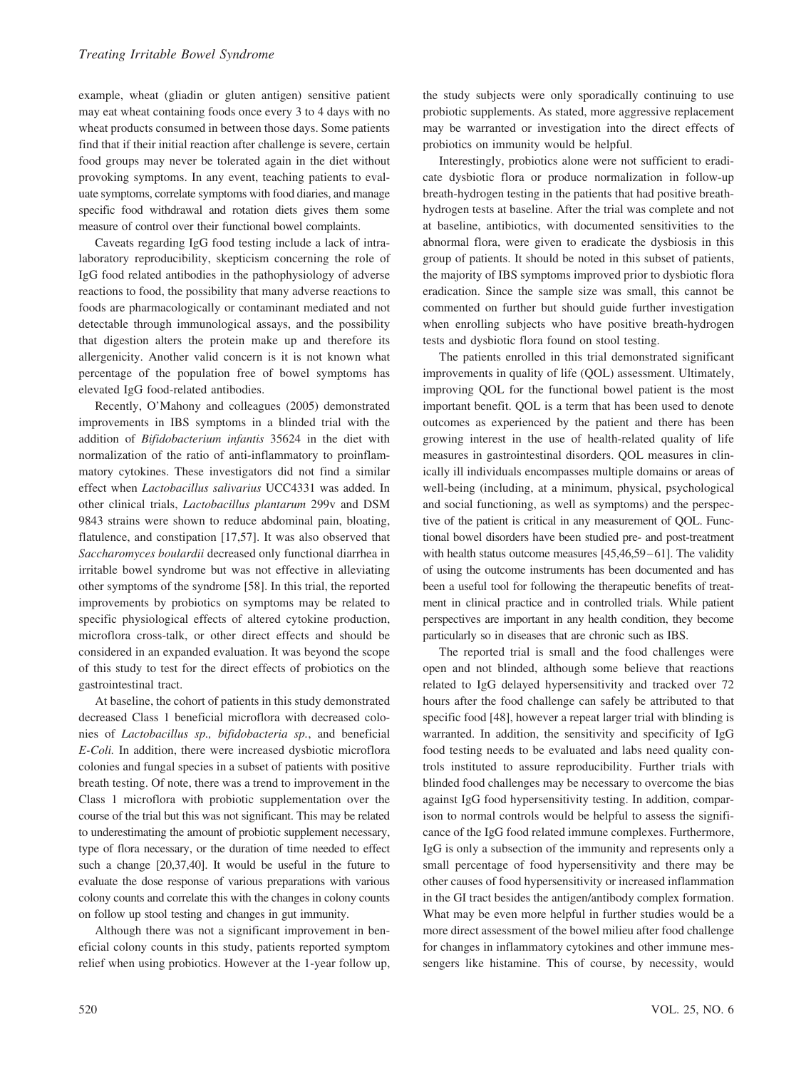example, wheat (gliadin or gluten antigen) sensitive patient may eat wheat containing foods once every 3 to 4 days with no wheat products consumed in between those days. Some patients find that if their initial reaction after challenge is severe, certain food groups may never be tolerated again in the diet without provoking symptoms. In any event, teaching patients to evaluate symptoms, correlate symptoms with food diaries, and manage specific food withdrawal and rotation diets gives them some measure of control over their functional bowel complaints.

Caveats regarding IgG food testing include a lack of intralaboratory reproducibility, skepticism concerning the role of IgG food related antibodies in the pathophysiology of adverse reactions to food, the possibility that many adverse reactions to foods are pharmacologically or contaminant mediated and not detectable through immunological assays, and the possibility that digestion alters the protein make up and therefore its allergenicity. Another valid concern is it is not known what percentage of the population free of bowel symptoms has elevated IgG food-related antibodies.

Recently, O'Mahony and colleagues (2005) demonstrated improvements in IBS symptoms in a blinded trial with the addition of *Bifidobacterium infantis* 35624 in the diet with normalization of the ratio of anti-inflammatory to proinflammatory cytokines. These investigators did not find a similar effect when *Lactobacillus salivarius* UCC4331 was added. In other clinical trials, *Lactobacillus plantarum* 299v and DSM 9843 strains were shown to reduce abdominal pain, bloating, flatulence, and constipation [17,57]. It was also observed that *Saccharomyces boulardii* decreased only functional diarrhea in irritable bowel syndrome but was not effective in alleviating other symptoms of the syndrome [58]. In this trial, the reported improvements by probiotics on symptoms may be related to specific physiological effects of altered cytokine production, microflora cross-talk, or other direct effects and should be considered in an expanded evaluation. It was beyond the scope of this study to test for the direct effects of probiotics on the gastrointestinal tract.

At baseline, the cohort of patients in this study demonstrated decreased Class 1 beneficial microflora with decreased colonies of *Lactobacillus sp., bifidobacteria sp.*, and beneficial *E-Coli.* In addition, there were increased dysbiotic microflora colonies and fungal species in a subset of patients with positive breath testing. Of note, there was a trend to improvement in the Class 1 microflora with probiotic supplementation over the course of the trial but this was not significant. This may be related to underestimating the amount of probiotic supplement necessary, type of flora necessary, or the duration of time needed to effect such a change [20,37,40]. It would be useful in the future to evaluate the dose response of various preparations with various colony counts and correlate this with the changes in colony counts on follow up stool testing and changes in gut immunity.

Although there was not a significant improvement in beneficial colony counts in this study, patients reported symptom relief when using probiotics. However at the 1-year follow up, the study subjects were only sporadically continuing to use probiotic supplements. As stated, more aggressive replacement may be warranted or investigation into the direct effects of probiotics on immunity would be helpful.

Interestingly, probiotics alone were not sufficient to eradicate dysbiotic flora or produce normalization in follow-up breath-hydrogen testing in the patients that had positive breathhydrogen tests at baseline. After the trial was complete and not at baseline, antibiotics, with documented sensitivities to the abnormal flora, were given to eradicate the dysbiosis in this group of patients. It should be noted in this subset of patients, the majority of IBS symptoms improved prior to dysbiotic flora eradication. Since the sample size was small, this cannot be commented on further but should guide further investigation when enrolling subjects who have positive breath-hydrogen tests and dysbiotic flora found on stool testing.

The patients enrolled in this trial demonstrated significant improvements in quality of life (QOL) assessment. Ultimately, improving QOL for the functional bowel patient is the most important benefit. QOL is a term that has been used to denote outcomes as experienced by the patient and there has been growing interest in the use of health-related quality of life measures in gastrointestinal disorders. QOL measures in clinically ill individuals encompasses multiple domains or areas of well-being (including, at a minimum, physical, psychological and social functioning, as well as symptoms) and the perspective of the patient is critical in any measurement of QOL. Functional bowel disorders have been studied pre- and post-treatment with health status outcome measures [45,46,59–61]. The validity of using the outcome instruments has been documented and has been a useful tool for following the therapeutic benefits of treatment in clinical practice and in controlled trials. While patient perspectives are important in any health condition, they become particularly so in diseases that are chronic such as IBS.

The reported trial is small and the food challenges were open and not blinded, although some believe that reactions related to IgG delayed hypersensitivity and tracked over 72 hours after the food challenge can safely be attributed to that specific food [48], however a repeat larger trial with blinding is warranted. In addition, the sensitivity and specificity of IgG food testing needs to be evaluated and labs need quality controls instituted to assure reproducibility. Further trials with blinded food challenges may be necessary to overcome the bias against IgG food hypersensitivity testing. In addition, comparison to normal controls would be helpful to assess the significance of the IgG food related immune complexes. Furthermore, IgG is only a subsection of the immunity and represents only a small percentage of food hypersensitivity and there may be other causes of food hypersensitivity or increased inflammation in the GI tract besides the antigen/antibody complex formation. What may be even more helpful in further studies would be a more direct assessment of the bowel milieu after food challenge for changes in inflammatory cytokines and other immune messengers like histamine. This of course, by necessity, would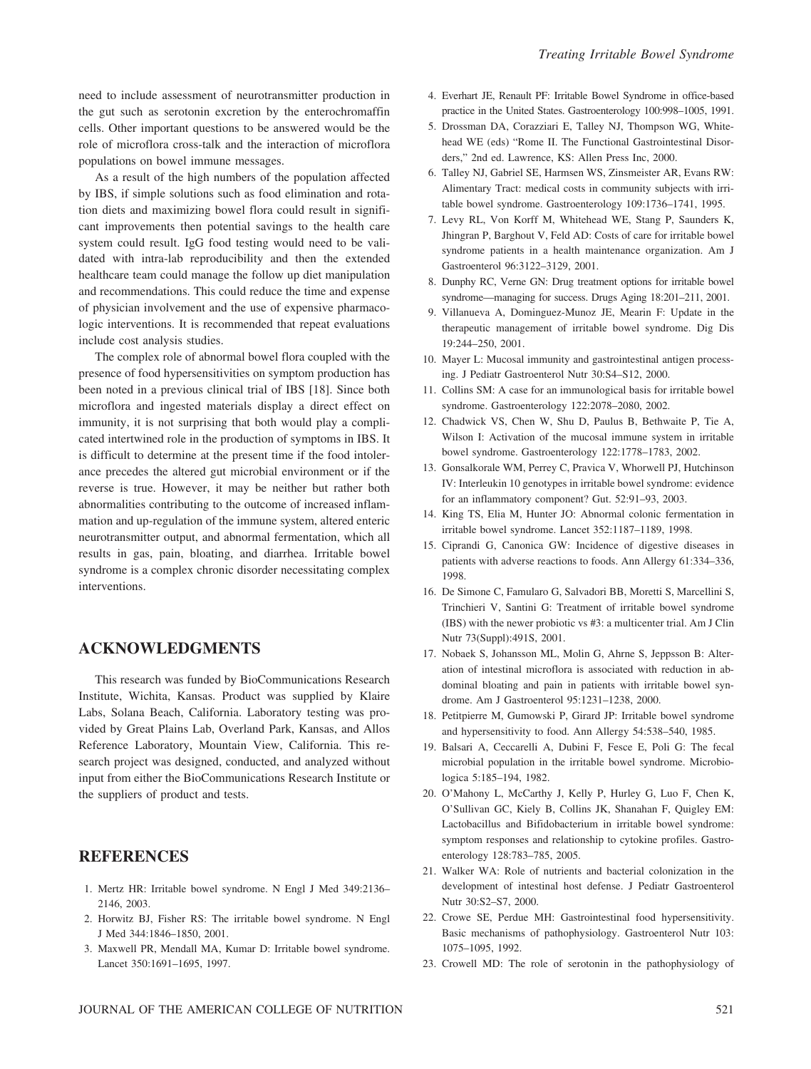need to include assessment of neurotransmitter production in the gut such as serotonin excretion by the enterochromaffin cells. Other important questions to be answered would be the role of microflora cross-talk and the interaction of microflora populations on bowel immune messages.

As a result of the high numbers of the population affected by IBS, if simple solutions such as food elimination and rotation diets and maximizing bowel flora could result in significant improvements then potential savings to the health care system could result. IgG food testing would need to be validated with intra-lab reproducibility and then the extended healthcare team could manage the follow up diet manipulation and recommendations. This could reduce the time and expense of physician involvement and the use of expensive pharmacologic interventions. It is recommended that repeat evaluations include cost analysis studies.

The complex role of abnormal bowel flora coupled with the presence of food hypersensitivities on symptom production has been noted in a previous clinical trial of IBS [18]. Since both microflora and ingested materials display a direct effect on immunity, it is not surprising that both would play a complicated intertwined role in the production of symptoms in IBS. It is difficult to determine at the present time if the food intolerance precedes the altered gut microbial environment or if the reverse is true. However, it may be neither but rather both abnormalities contributing to the outcome of increased inflammation and up-regulation of the immune system, altered enteric neurotransmitter output, and abnormal fermentation, which all results in gas, pain, bloating, and diarrhea. Irritable bowel syndrome is a complex chronic disorder necessitating complex interventions.

## **ACKNOWLEDGMENTS**

This research was funded by BioCommunications Research Institute, Wichita, Kansas. Product was supplied by Klaire Labs, Solana Beach, California. Laboratory testing was provided by Great Plains Lab, Overland Park, Kansas, and Allos Reference Laboratory, Mountain View, California. This research project was designed, conducted, and analyzed without input from either the BioCommunications Research Institute or the suppliers of product and tests.

# **REFERENCES**

- 1. Mertz HR: Irritable bowel syndrome. N Engl J Med 349:2136– 2146, 2003.
- 2. Horwitz BJ, Fisher RS: The irritable bowel syndrome. N Engl J Med 344:1846–1850, 2001.
- 3. Maxwell PR, Mendall MA, Kumar D: Irritable bowel syndrome. Lancet 350:1691–1695, 1997.
- 4. Everhart JE, Renault PF: Irritable Bowel Syndrome in office-based practice in the United States. Gastroenterology 100:998–1005, 1991.
- 5. Drossman DA, Corazziari E, Talley NJ, Thompson WG, Whitehead WE (eds) "Rome II. The Functional Gastrointestinal Disorders," 2nd ed. Lawrence, KS: Allen Press Inc, 2000.
- 6. Talley NJ, Gabriel SE, Harmsen WS, Zinsmeister AR, Evans RW: Alimentary Tract: medical costs in community subjects with irritable bowel syndrome. Gastroenterology 109:1736–1741, 1995.
- 7. Levy RL, Von Korff M, Whitehead WE, Stang P, Saunders K, Jhingran P, Barghout V, Feld AD: Costs of care for irritable bowel syndrome patients in a health maintenance organization. Am J Gastroenterol 96:3122–3129, 2001.
- 8. Dunphy RC, Verne GN: Drug treatment options for irritable bowel syndrome—managing for success. Drugs Aging 18:201–211, 2001.
- 9. Villanueva A, Dominguez-Munoz JE, Mearin F: Update in the therapeutic management of irritable bowel syndrome. Dig Dis 19:244–250, 2001.
- 10. Mayer L: Mucosal immunity and gastrointestinal antigen processing. J Pediatr Gastroenterol Nutr 30:S4–S12, 2000.
- 11. Collins SM: A case for an immunological basis for irritable bowel syndrome. Gastroenterology 122:2078–2080, 2002.
- 12. Chadwick VS, Chen W, Shu D, Paulus B, Bethwaite P, Tie A, Wilson I: Activation of the mucosal immune system in irritable bowel syndrome. Gastroenterology 122:1778–1783, 2002.
- 13. Gonsalkorale WM, Perrey C, Pravica V, Whorwell PJ, Hutchinson IV: Interleukin 10 genotypes in irritable bowel syndrome: evidence for an inflammatory component? Gut. 52:91–93, 2003.
- 14. King TS, Elia M, Hunter JO: Abnormal colonic fermentation in irritable bowel syndrome. Lancet 352:1187–1189, 1998.
- 15. Ciprandi G, Canonica GW: Incidence of digestive diseases in patients with adverse reactions to foods. Ann Allergy 61:334–336, 1998.
- 16. De Simone C, Famularo G, Salvadori BB, Moretti S, Marcellini S, Trinchieri V, Santini G: Treatment of irritable bowel syndrome (IBS) with the newer probiotic vs #3: a multicenter trial. Am J Clin Nutr 73(Suppl):491S, 2001.
- 17. Nobaek S, Johansson ML, Molin G, Ahrne S, Jeppsson B: Alteration of intestinal microflora is associated with reduction in abdominal bloating and pain in patients with irritable bowel syndrome. Am J Gastroenterol 95:1231–1238, 2000.
- 18. Petitpierre M, Gumowski P, Girard JP: Irritable bowel syndrome and hypersensitivity to food. Ann Allergy 54:538–540, 1985.
- 19. Balsari A, Ceccarelli A, Dubini F, Fesce E, Poli G: The fecal microbial population in the irritable bowel syndrome. Microbiologica 5:185–194, 1982.
- 20. O'Mahony L, McCarthy J, Kelly P, Hurley G, Luo F, Chen K, O'Sullivan GC, Kiely B, Collins JK, Shanahan F, Quigley EM: Lactobacillus and Bifidobacterium in irritable bowel syndrome: symptom responses and relationship to cytokine profiles. Gastroenterology 128:783–785, 2005.
- 21. Walker WA: Role of nutrients and bacterial colonization in the development of intestinal host defense. J Pediatr Gastroenterol Nutr 30:S2–S7, 2000.
- 22. Crowe SE, Perdue MH: Gastrointestinal food hypersensitivity. Basic mechanisms of pathophysiology. Gastroenterol Nutr 103: 1075–1095, 1992.
- 23. Crowell MD: The role of serotonin in the pathophysiology of